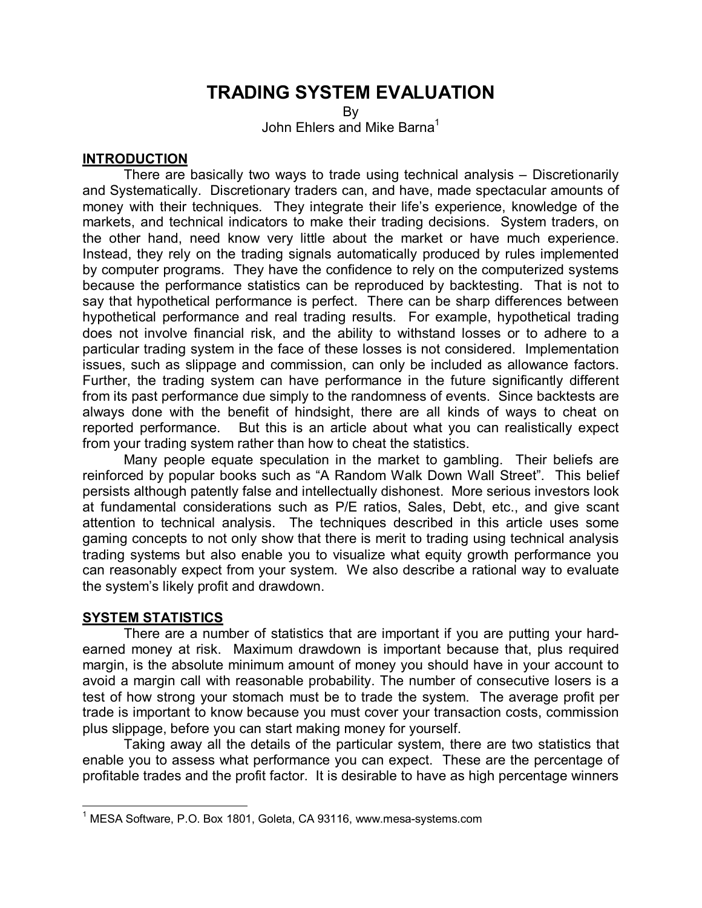# **TRADING SYSTEM EVALUATION**

By

John Ehlers and Mike Barna<sup>1</sup>

#### **INTRODUCTION**

 There are basically two ways to trade using technical analysis – Discretionarily and Systematically. Discretionary traders can, and have, made spectacular amounts of money with their techniques. They integrate their life's experience, knowledge of the markets, and technical indicators to make their trading decisions. System traders, on the other hand, need know very little about the market or have much experience. Instead, they rely on the trading signals automatically produced by rules implemented by computer programs. They have the confidence to rely on the computerized systems because the performance statistics can be reproduced by backtesting. That is not to say that hypothetical performance is perfect. There can be sharp differences between hypothetical performance and real trading results. For example, hypothetical trading does not involve financial risk, and the ability to withstand losses or to adhere to a particular trading system in the face of these losses is not considered. Implementation issues, such as slippage and commission, can only be included as allowance factors. Further, the trading system can have performance in the future significantly different from its past performance due simply to the randomness of events. Since backtests are always done with the benefit of hindsight, there are all kinds of ways to cheat on reported performance. But this is an article about what you can realistically expect from your trading system rather than how to cheat the statistics.

Many people equate speculation in the market to gambling. Their beliefs are reinforced by popular books such as "A Random Walk Down Wall Street". This belief persists although patently false and intellectually dishonest. More serious investors look at fundamental considerations such as P/E ratios, Sales, Debt, etc., and give scant attention to technical analysis. The techniques described in this article uses some gaming concepts to not only show that there is merit to trading using technical analysis trading systems but also enable you to visualize what equity growth performance you can reasonably expect from your system. We also describe a rational way to evaluate the system's likely profit and drawdown.

### **SYSTEM STATISTICS**

 $\overline{a}$ 

 There are a number of statistics that are important if you are putting your hardearned money at risk. Maximum drawdown is important because that, plus required margin, is the absolute minimum amount of money you should have in your account to avoid a margin call with reasonable probability. The number of consecutive losers is a test of how strong your stomach must be to trade the system. The average profit per trade is important to know because you must cover your transaction costs, commission plus slippage, before you can start making money for yourself.

Taking away all the details of the particular system, there are two statistics that enable you to assess what performance you can expect. These are the percentage of profitable trades and the profit factor. It is desirable to have as high percentage winners

<sup>&</sup>lt;sup>1</sup> MESA Software, P.O. Box 1801, Goleta, CA 93116, www.mesa-systems.com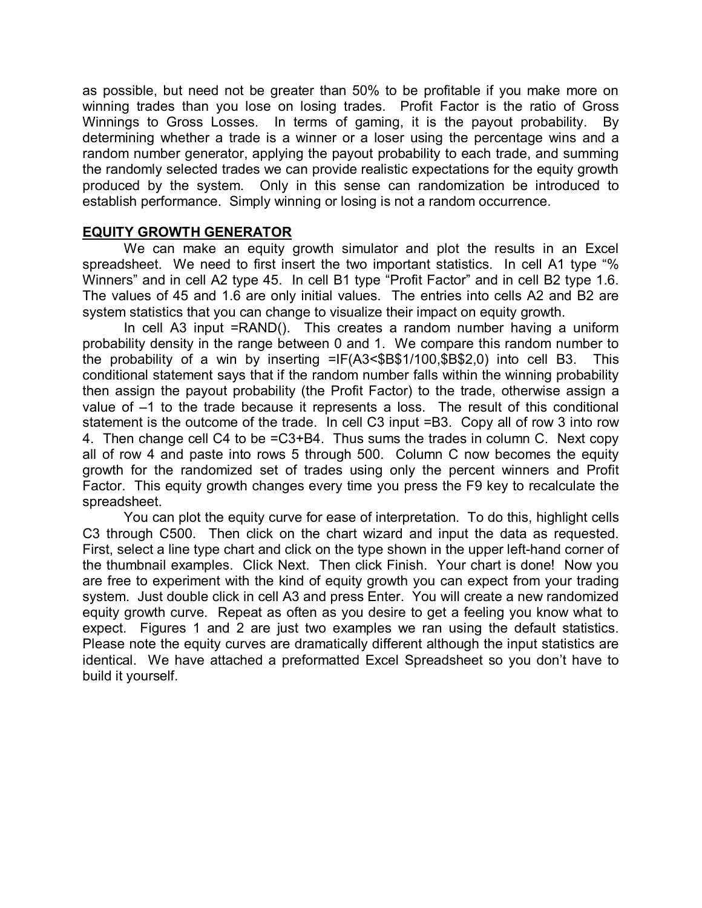as possible, but need not be greater than 50% to be profitable if you make more on winning trades than you lose on losing trades. Profit Factor is the ratio of Gross Winnings to Gross Losses. In terms of gaming, it is the payout probability. By determining whether a trade is a winner or a loser using the percentage wins and a random number generator, applying the payout probability to each trade, and summing the randomly selected trades we can provide realistic expectations for the equity growth produced by the system. Only in this sense can randomization be introduced to establish performance. Simply winning or losing is not a random occurrence.

#### **EQUITY GROWTH GENERATOR**

 We can make an equity growth simulator and plot the results in an Excel spreadsheet. We need to first insert the two important statistics. In cell A1 type "% Winners" and in cell A2 type 45. In cell B1 type "Profit Factor" and in cell B2 type 1.6. The values of 45 and 1.6 are only initial values. The entries into cells A2 and B2 are system statistics that you can change to visualize their impact on equity growth.

 In cell A3 input =RAND(). This creates a random number having a uniform probability density in the range between 0 and 1. We compare this random number to the probability of a win by inserting =IF(A3<\$B\$1/100,\$B\$2,0) into cell B3. This conditional statement says that if the random number falls within the winning probability then assign the payout probability (the Profit Factor) to the trade, otherwise assign a value of –1 to the trade because it represents a loss. The result of this conditional statement is the outcome of the trade. In cell C3 input =B3. Copy all of row 3 into row 4. Then change cell C4 to be =C3+B4. Thus sums the trades in column C. Next copy all of row 4 and paste into rows 5 through 500. Column C now becomes the equity growth for the randomized set of trades using only the percent winners and Profit Factor. This equity growth changes every time you press the F9 key to recalculate the spreadsheet.

 You can plot the equity curve for ease of interpretation. To do this, highlight cells C3 through C500. Then click on the chart wizard and input the data as requested. First, select a line type chart and click on the type shown in the upper left-hand corner of the thumbnail examples. Click Next. Then click Finish. Your chart is done! Now you are free to experiment with the kind of equity growth you can expect from your trading system. Just double click in cell A3 and press Enter. You will create a new randomized equity growth curve. Repeat as often as you desire to get a feeling you know what to expect. Figures 1 and 2 are just two examples we ran using the default statistics. Please note the equity curves are dramatically different although the input statistics are identical. We have attached a preformatted Excel Spreadsheet so you don't have to build it yourself.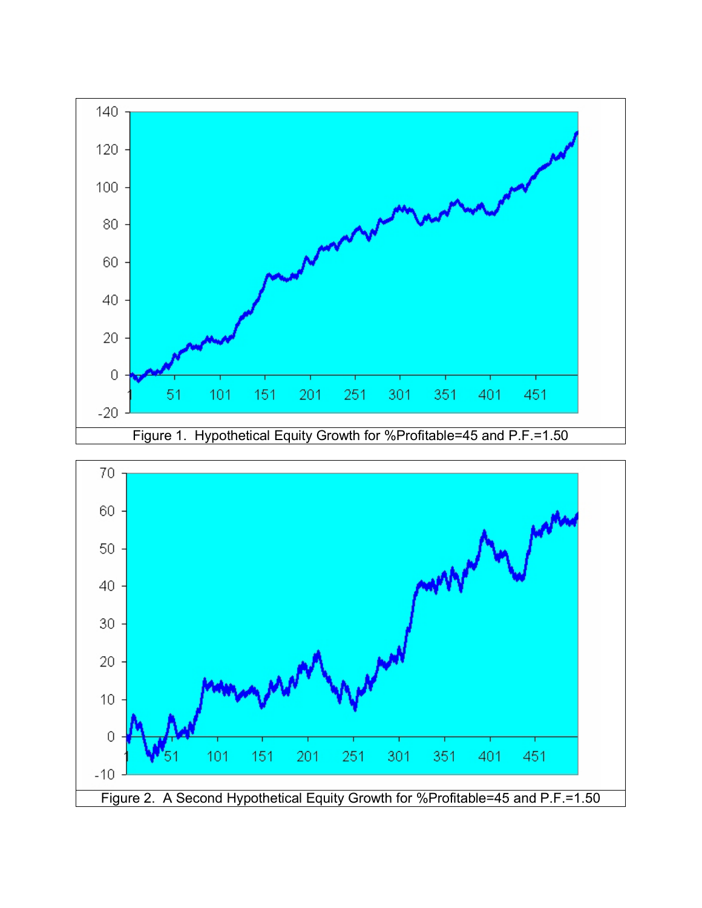

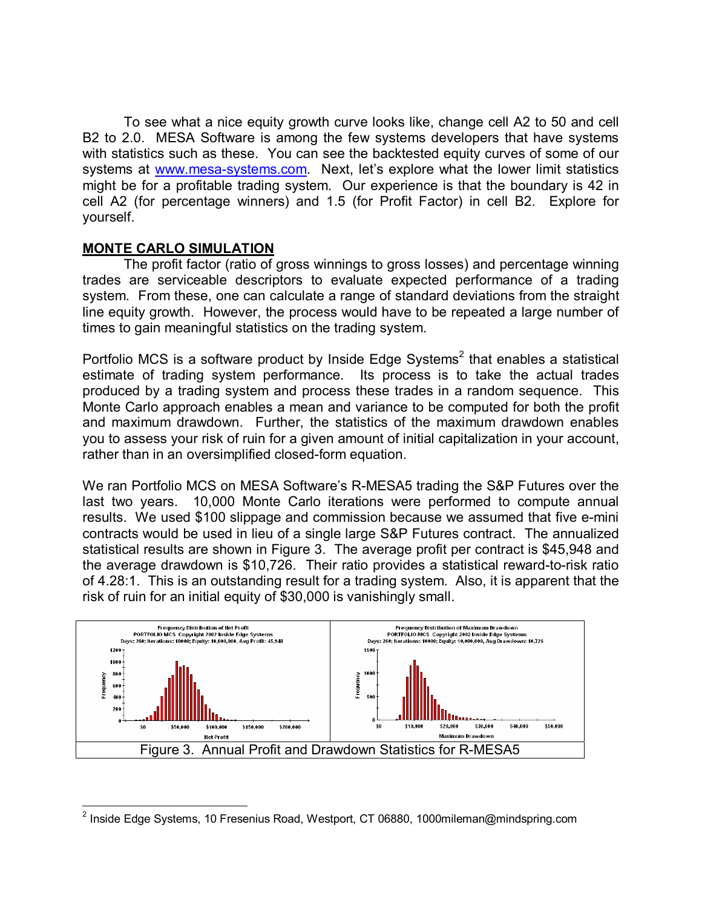To see what a nice equity growth curve looks like, change cell A2 to 50 and cell B2 to 2.0. MESA Software is among the few systems developers that have systems with statistics such as these. You can see the backtested equity curves of some of our systems at www.mesa-systems.com. Next, let's explore what the lower limit statistics might be for a profitable trading system. Our experience is that the boundary is 42 in cell A2 (for percentage winners) and 1.5 (for Profit Factor) in cell B2. Explore for yourself.

### **MONTE CARLO SIMULATION**

The profit factor (ratio of gross winnings to gross losses) and percentage winning trades are serviceable descriptors to evaluate expected performance of a trading system. From these, one can calculate a range of standard deviations from the straight line equity growth. However, the process would have to be repeated a large number of times to gain meaningful statistics on the trading system.

Portfolio MCS is a software product by Inside Edge Systems<sup>2</sup> that enables a statistical estimate of trading system performance. Its process is to take the actual trades produced by a trading system and process these trades in a random sequence. This Monte Carlo approach enables a mean and variance to be computed for both the profit and maximum drawdown. Further, the statistics of the maximum drawdown enables you to assess your risk of ruin for a given amount of initial capitalization in your account, rather than in an oversimplified closed-form equation.

We ran Portfolio MCS on MESA Software's R-MESA5 trading the S&P Futures over the last two years. 10,000 Monte Carlo iterations were performed to compute annual results. We used \$100 slippage and commission because we assumed that five e-mini contracts would be used in lieu of a single large S&P Futures contract. The annualized statistical results are shown in Figure 3. The average profit per contract is \$45,948 and the average drawdown is \$10,726. Their ratio provides a statistical reward-to-risk ratio of 4.28:1. This is an outstanding result for a trading system. Also, it is apparent that the risk of ruin for an initial equity of \$30,000 is vanishingly small.



<sup>&</sup>lt;u>2</u><br><sup>2</sup> Inside Edge Systems, 10 Fresenius Road, Westport, CT 06880, 1000mileman@mindspring.com